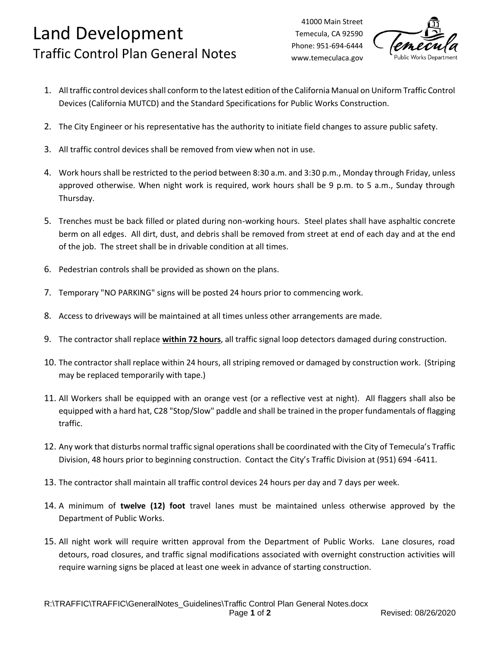## Land Development Traffic Control Plan General Notes

41000 Main Street Temecula, CA 92590 Phone: 951-694-6444 www.temeculaca.gov



- 1. All traffic control devices shall conform to the latest edition of the California Manual on Uniform Traffic Control Devices (California MUTCD) and the Standard Specifications for Public Works Construction.
- 2. The City Engineer or his representative has the authority to initiate field changes to assure public safety.
- 3. All traffic control devices shall be removed from view when not in use.
- 4. Work hours shall be restricted to the period between 8:30 a.m. and 3:30 p.m., Monday through Friday, unless approved otherwise. When night work is required, work hours shall be 9 p.m. to 5 a.m., Sunday through Thursday.
- 5. Trenches must be back filled or plated during non-working hours. Steel plates shall have asphaltic concrete berm on all edges. All dirt, dust, and debris shall be removed from street at end of each day and at the end of the job. The street shall be in drivable condition at all times.
- 6. Pedestrian controls shall be provided as shown on the plans.
- 7. Temporary "NO PARKING" signs will be posted 24 hours prior to commencing work.
- 8. Access to driveways will be maintained at all times unless other arrangements are made.
- 9. The contractor shall replace **within 72 hours**, all traffic signal loop detectors damaged during construction.
- 10. The contractor shall replace within 24 hours, all striping removed or damaged by construction work. (Striping may be replaced temporarily with tape.)
- 11. All Workers shall be equipped with an orange vest (or a reflective vest at night). All flaggers shall also be equipped with a hard hat, C28 "Stop/Slow" paddle and shall be trained in the proper fundamentals of flagging traffic.
- 12. Any work that disturbs normal traffic signal operations shall be coordinated with the City of Temecula's Traffic Division, 48 hours prior to beginning construction. Contact the City's Traffic Division at (951) 694 -6411.
- 13. The contractor shall maintain all traffic control devices 24 hours per day and 7 days per week.
- 14. A minimum of **twelve (12) foot** travel lanes must be maintained unless otherwise approved by the Department of Public Works.
- 15. All night work will require written approval from the Department of Public Works. Lane closures, road detours, road closures, and traffic signal modifications associated with overnight construction activities will require warning signs be placed at least one week in advance of starting construction.